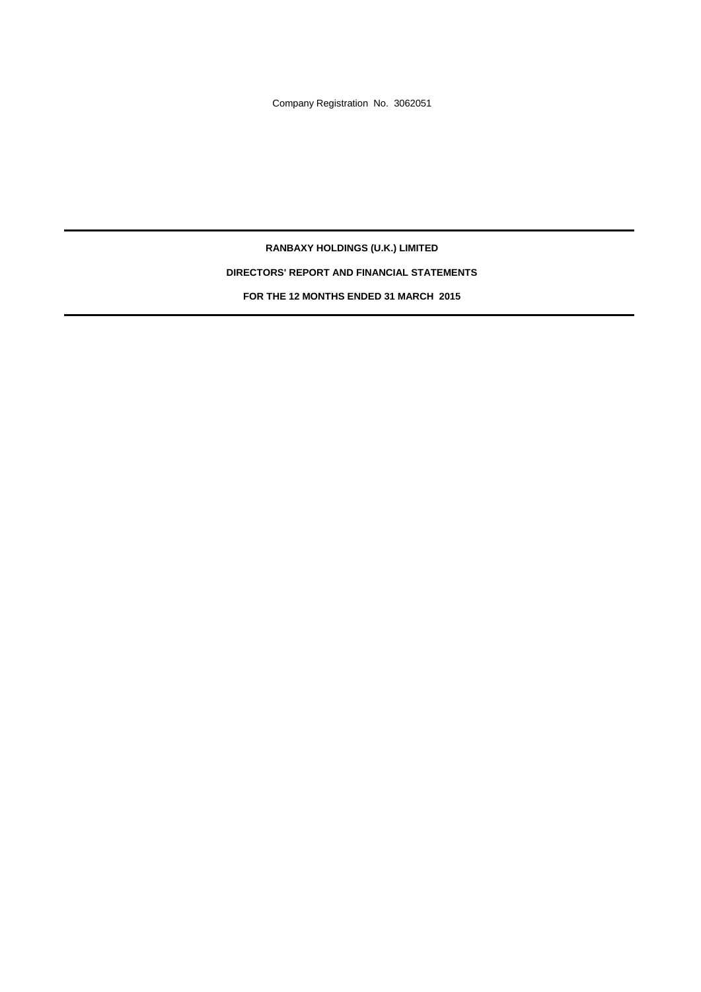Company Registration No. 3062051

**RANBAXY HOLDINGS (U.K.) LIMITED DIRECTORS' REPORT AND FINANCIAL STATEMENTS FOR THE 12 MONTHS ENDED 31 MARCH 2015**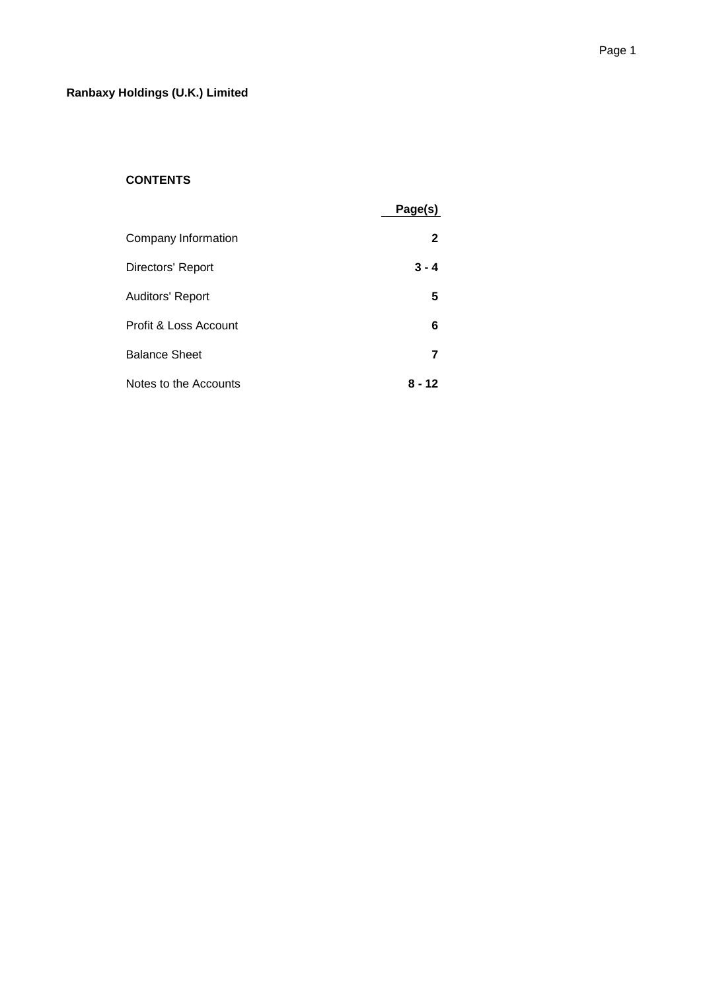# **CONTENTS**

|                         | Page(s) |
|-------------------------|---------|
| Company Information     | 2       |
| Directors' Report       | $3 - 4$ |
| <b>Auditors' Report</b> | 5       |
| Profit & Loss Account   | 6       |
| <b>Balance Sheet</b>    | 7       |
| Notes to the Accounts   | 8 - 12  |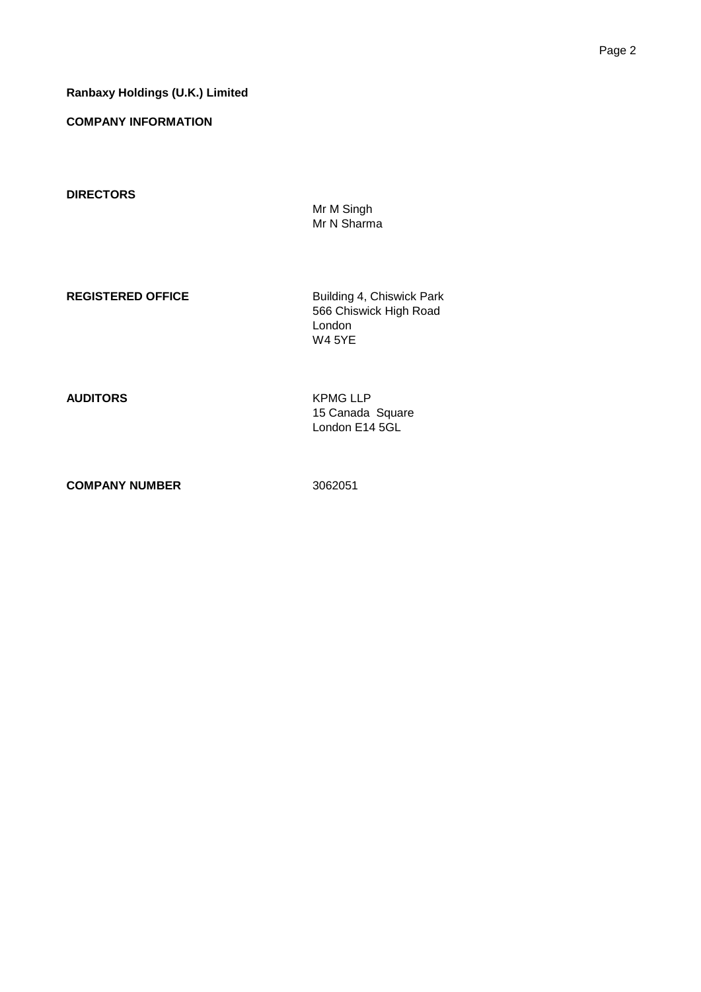# **Ranbaxy Holdings (U.K.) Limited**

**COMPANY INFORMATION**

**DIRECTORS**

Mr M Singh Mr N Sharma

**REGISTERED OFFICE** Building 4, Chiswick Park 566 Chiswick High Road London W4 5YE

**AUDITORS** KPMG LLP 15 Canada Square London E14 5GL

**COMPANY NUMBER** 3062051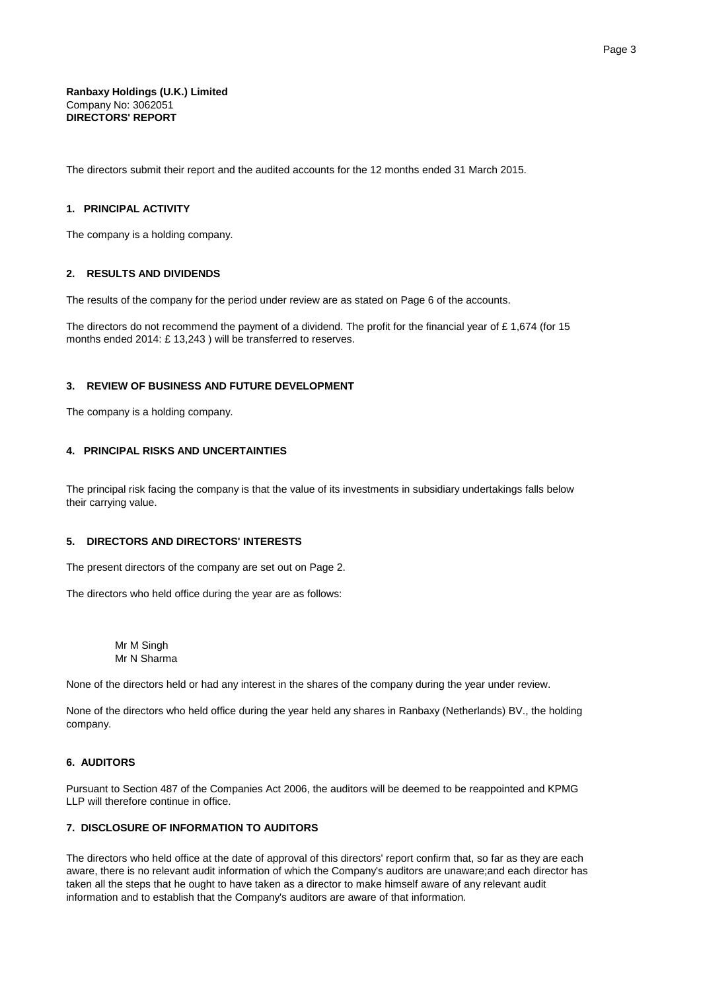**Ranbaxy Holdings (U.K.) Limited** Company No: 3062051 **DIRECTORS' REPORT**

The directors submit their report and the audited accounts for the 12 months ended 31 March 2015.

## **1. PRINCIPAL ACTIVITY**

The company is a holding company.

### **2. RESULTS AND DIVIDENDS**

The results of the company for the period under review are as stated on Page 6 of the accounts.

The directors do not recommend the payment of a dividend. The profit for the financial year of £ 1,674 (for 15 months ended 2014: £ 13,243 ) will be transferred to reserves.

# **3. REVIEW OF BUSINESS AND FUTURE DEVELOPMENT**

The company is a holding company.

### **4. PRINCIPAL RISKS AND UNCERTAINTIES**

The principal risk facing the company is that the value of its investments in subsidiary undertakings falls below their carrying value.

# **5. DIRECTORS AND DIRECTORS' INTERESTS**

The present directors of the company are set out on Page 2.

The directors who held office during the year are as follows:

Mr M Singh Mr N Sharma

None of the directors held or had any interest in the shares of the company during the year under review.

None of the directors who held office during the year held any shares in Ranbaxy (Netherlands) BV., the holding company.

# **6. AUDITORS**

Pursuant to Section 487 of the Companies Act 2006, the auditors will be deemed to be reappointed and KPMG LLP will therefore continue in office.

# **7. DISCLOSURE OF INFORMATION TO AUDITORS**

The directors who held office at the date of approval of this directors' report confirm that, so far as they are each aware, there is no relevant audit information of which the Company's auditors are unaware;and each director has taken all the steps that he ought to have taken as a director to make himself aware of any relevant audit information and to establish that the Company's auditors are aware of that information.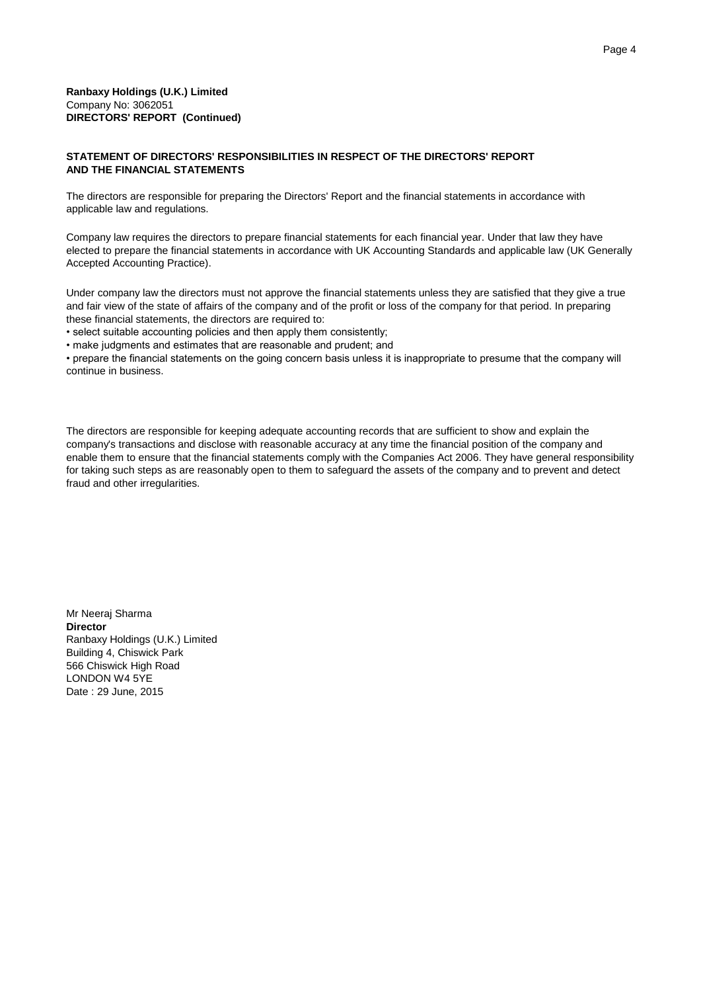# **STATEMENT OF DIRECTORS' RESPONSIBILITIES IN RESPECT OF THE DIRECTORS' REPORT AND THE FINANCIAL STATEMENTS**

The directors are responsible for preparing the Directors' Report and the financial statements in accordance with applicable law and regulations.

Company law requires the directors to prepare financial statements for each financial year. Under that law they have elected to prepare the financial statements in accordance with UK Accounting Standards and applicable law (UK Generally Accepted Accounting Practice).

Under company law the directors must not approve the financial statements unless they are satisfied that they give a true and fair view of the state of affairs of the company and of the profit or loss of the company for that period. In preparing these financial statements, the directors are required to:

• select suitable accounting policies and then apply them consistently;

• make judgments and estimates that are reasonable and prudent; and

• prepare the financial statements on the going concern basis unless it is inappropriate to presume that the company will continue in business.

The directors are responsible for keeping adequate accounting records that are sufficient to show and explain the company's transactions and disclose with reasonable accuracy at any time the financial position of the company and enable them to ensure that the financial statements comply with the Companies Act 2006. They have general responsibility for taking such steps as are reasonably open to them to safeguard the assets of the company and to prevent and detect fraud and other irregularities.

Mr Neeraj Sharma **Director** Ranbaxy Holdings (U.K.) Limited Building 4, Chiswick Park 566 Chiswick High Road LONDON W4 5YE Date : 29 June, 2015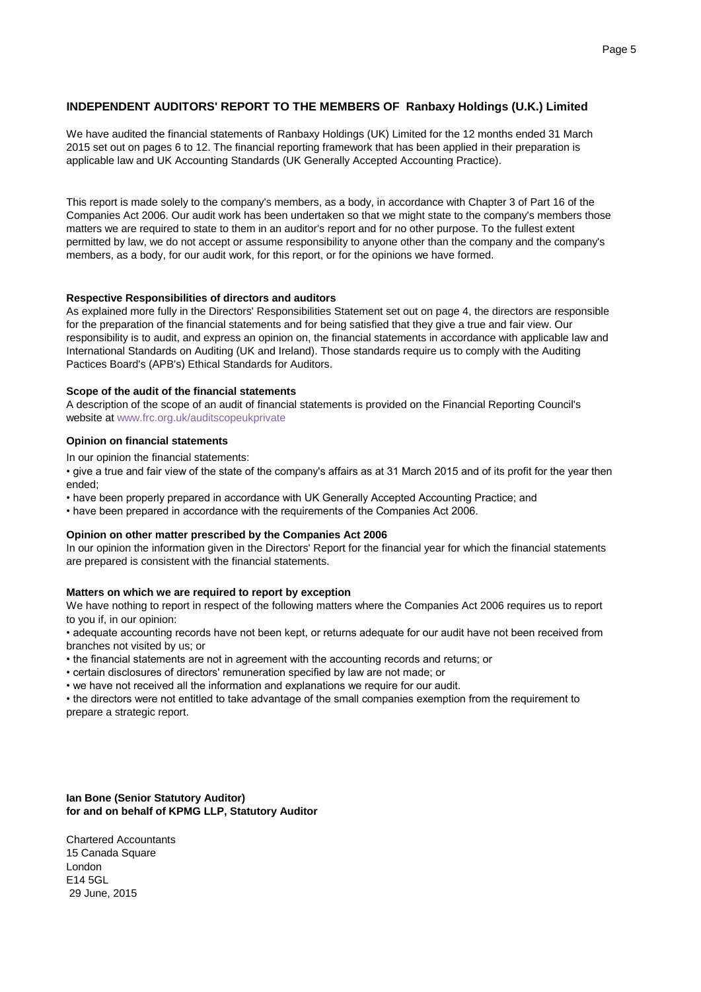# **INDEPENDENT AUDITORS' REPORT TO THE MEMBERS OF Ranbaxy Holdings (U.K.) Limited**

We have audited the financial statements of Ranbaxy Holdings (UK) Limited for the 12 months ended 31 March 2015 set out on pages 6 to 12. The financial reporting framework that has been applied in their preparation is applicable law and UK Accounting Standards (UK Generally Accepted Accounting Practice).

This report is made solely to the company's members, as a body, in accordance with Chapter 3 of Part 16 of the Companies Act 2006. Our audit work has been undertaken so that we might state to the company's members those matters we are required to state to them in an auditor's report and for no other purpose. To the fullest extent permitted by law, we do not accept or assume responsibility to anyone other than the company and the company's members, as a body, for our audit work, for this report, or for the opinions we have formed.

# **Respective Responsibilities of directors and auditors**

As explained more fully in the Directors' Responsibilities Statement set out on page 4, the directors are responsible for the preparation of the financial statements and for being satisfied that they give a true and fair view. Our responsibility is to audit, and express an opinion on, the financial statements in accordance with applicable law and International Standards on Auditing (UK and Ireland). Those standards require us to comply with the Auditing Pactices Board's (APB's) Ethical Standards for Auditors.

## **Scope of the audit of the financial statements**

A description of the scope of an audit of financial statements is provided on the Financial Reporting Council's website at www.frc.org.uk/auditscopeukprivate

# **Opinion on financial statements**

In our opinion the financial statements:

• give a true and fair view of the state of the company's affairs as at 31 March 2015 and of its profit for the year then ended;

- have been properly prepared in accordance with UK Generally Accepted Accounting Practice; and
- have been prepared in accordance with the requirements of the Companies Act 2006.

## **Opinion on other matter prescribed by the Companies Act 2006**

In our opinion the information given in the Directors' Report for the financial year for which the financial statements are prepared is consistent with the financial statements.

# **Matters on which we are required to report by exception**

We have nothing to report in respect of the following matters where the Companies Act 2006 requires us to report to you if, in our opinion:

• adequate accounting records have not been kept, or returns adequate for our audit have not been received from branches not visited by us; or

- the financial statements are not in agreement with the accounting records and returns; or
- certain disclosures of directors' remuneration specified by law are not made; or
- we have not received all the information and explanations we require for our audit.

• the directors were not entitled to take advantage of the small companies exemption from the requirement to prepare a strategic report.

# **Ian Bone (Senior Statutory Auditor) for and on behalf of KPMG LLP, Statutory Auditor**

Chartered Accountants 15 Canada Square London E14 5GL 29 June, 2015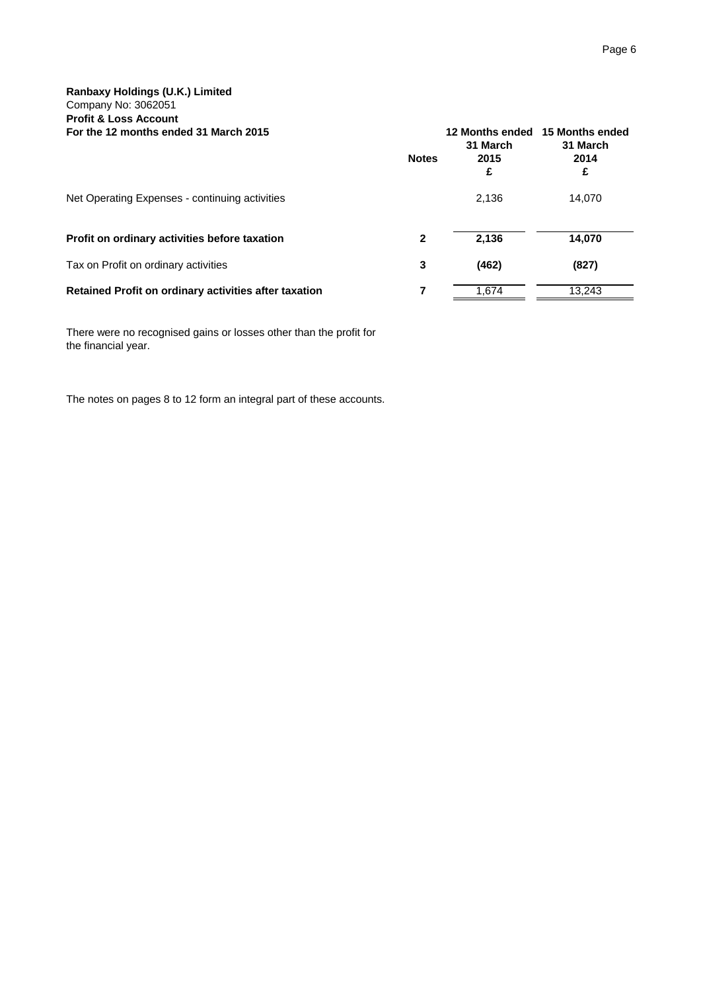| For the 12 months ended 31 March 2015                 | <b>Notes</b> | 31 March<br>2015<br>£ | 12 Months ended 15 Months ended<br>31 March<br>2014<br>£ |
|-------------------------------------------------------|--------------|-----------------------|----------------------------------------------------------|
| Net Operating Expenses - continuing activities        |              | 2,136                 | 14,070                                                   |
| Profit on ordinary activities before taxation         | 2            | 2.136                 | 14,070                                                   |
| Tax on Profit on ordinary activities                  | 3            | (462)                 | (827)                                                    |
| Retained Profit on ordinary activities after taxation |              | 1.674                 | 13.243                                                   |

There were no recognised gains or losses other than the profit for the financial year.

The notes on pages 8 to 12 form an integral part of these accounts.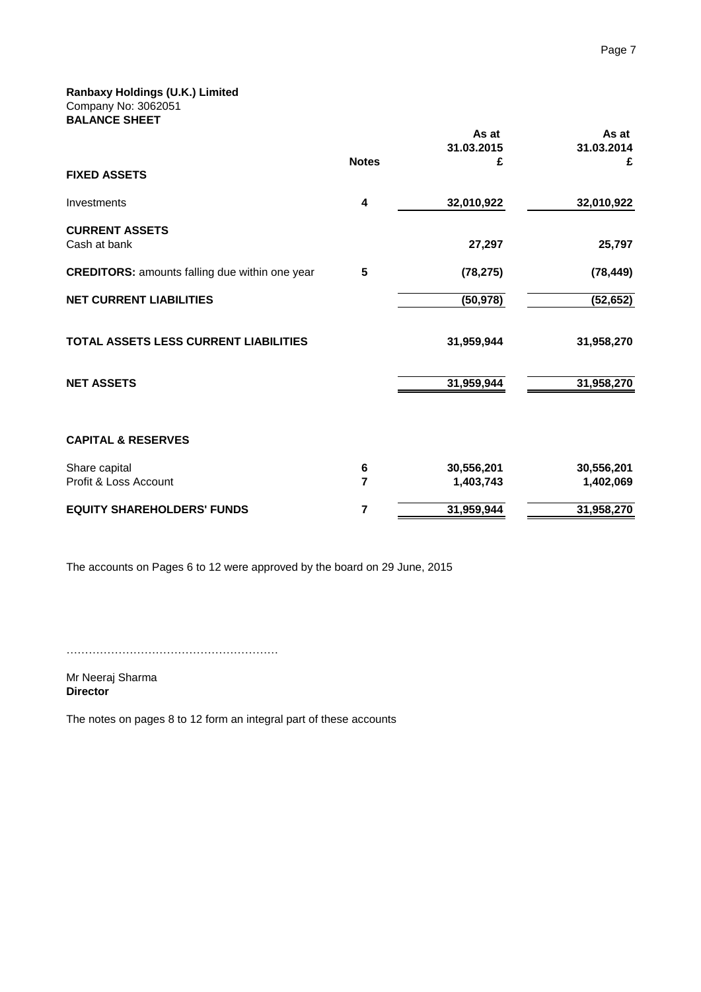**Ranbaxy Holdings (U.K.) Limited** Company No: 3062051 **BALANCE SHEET**

|                                                       |              | As at<br>31.03.2015 | As at<br>31.03.2014 |
|-------------------------------------------------------|--------------|---------------------|---------------------|
| <b>FIXED ASSETS</b>                                   | <b>Notes</b> | £                   | £                   |
| Investments                                           | 4            | 32,010,922          | 32,010,922          |
| <b>CURRENT ASSETS</b><br>Cash at bank                 |              | 27,297              | 25,797              |
| <b>CREDITORS: amounts falling due within one year</b> | 5            | (78, 275)           | (78, 449)           |
| <b>NET CURRENT LIABILITIES</b>                        |              | (50, 978)           | (52, 652)           |
| TOTAL ASSETS LESS CURRENT LIABILITIES                 |              | 31,959,944          | 31,958,270          |
| <b>NET ASSETS</b>                                     |              | 31,959,944          | 31,958,270          |
| <b>CAPITAL &amp; RESERVES</b>                         |              |                     |                     |
| Share capital                                         | 6            | 30,556,201          | 30,556,201          |
| Profit & Loss Account                                 | 7            | 1,403,743           | 1,402,069           |
| <b>EQUITY SHAREHOLDERS' FUNDS</b>                     | 7            | 31,959,944          | 31,958,270          |

The accounts on Pages 6 to 12 were approved by the board on 29 June, 2015

…………………………………………………

Mr Neeraj Sharma **Director**

The notes on pages 8 to 12 form an integral part of these accounts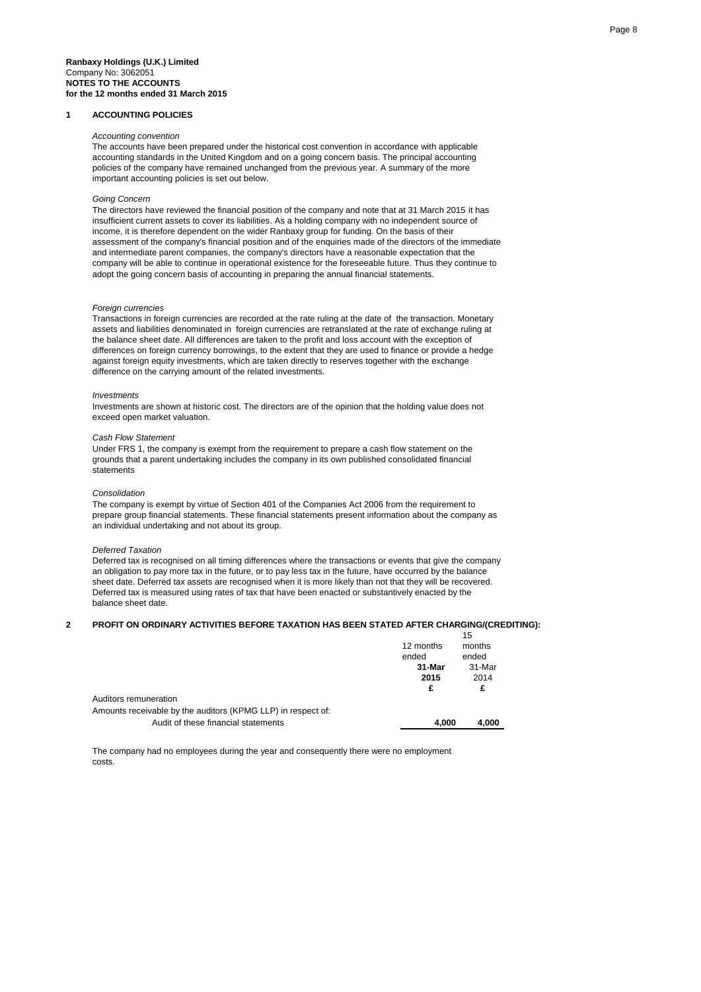#### **1 ACCOUNTING POLICIES**

#### *Accounting convention*

The accounts have been prepared under the historical cost convention in accordance with applicable accounting standards in the United Kingdom and on a going concern basis. The principal accounting policies of the company have remained unchanged from the previous year. A summary of the more important accounting policies is set out below.

### *Going Concern*

The directors have reviewed the financial position of the company and note that at 31 March 2015 it has insufficient current assets to cover its liabilities. As a holding company with no independent source of income, it is therefore dependent on the wider Ranbaxy group for funding. On the basis of their assessment of the company's financial position and of the enquiries made of the directors of the immediate and intermediate parent companies, the company's directors have a reasonable expectation that the company will be able to continue in operational existence for the foreseeable future. Thus they continue to adopt the going concern basis of accounting in preparing the annual financial statements.

#### *Foreign currencies*

Transactions in foreign currencies are recorded at the rate ruling at the date of the transaction. Monetary assets and liabilities denominated in foreign currencies are retranslated at the rate of exchange ruling at the balance sheet date. All differences are taken to the profit and loss account with the exception of differences on foreign currency borrowings, to the extent that they are used to finance or provide a hedge against foreign equity investments, which are taken directly to reserves together with the exchange difference on the carrying amount of the related investments.

#### *Investments*

Investments are shown at historic cost. The directors are of the opinion that the holding value does not exceed open market valuation.

#### *Cash Flow Statement*

Under FRS 1, the company is exempt from the requirement to prepare a cash flow statement on the grounds that a parent undertaking includes the company in its own published consolidated financial statements

#### *Consolidation*

The company is exempt by virtue of Section 401 of the Companies Act 2006 from the requirement to prepare group financial statements. These financial statements present information about the company as an individual undertaking and not about its group.

#### *Deferred Taxation*

Deferred tax is recognised on all timing differences where the transactions or events that give the company an obligation to pay more tax in the future, or to pay less tax in the future, have occurred by the balance sheet date. Deferred tax assets are recognised when it is more likely than not that they will be recovered. Deferred tax is measured using rates of tax that have been enacted or substantively enacted by the balance sheet date.

### **2 PROFIT ON ORDINARY ACTIVITIES BEFORE TAXATION HAS BEEN STATED AFTER CHARGING/(CREDITING):**

|                                                              | 12 months<br>ended<br>31-Mar<br>2015<br>£ | 15<br>months<br>ended<br>31-Mar<br>2014<br>£ |
|--------------------------------------------------------------|-------------------------------------------|----------------------------------------------|
| Auditors remuneration                                        |                                           |                                              |
| Amounts receivable by the auditors (KPMG LLP) in respect of: |                                           |                                              |
| Audit of these financial statements                          | 4.000                                     | 4.000                                        |

The company had no employees during the year and consequently there were no employment costs.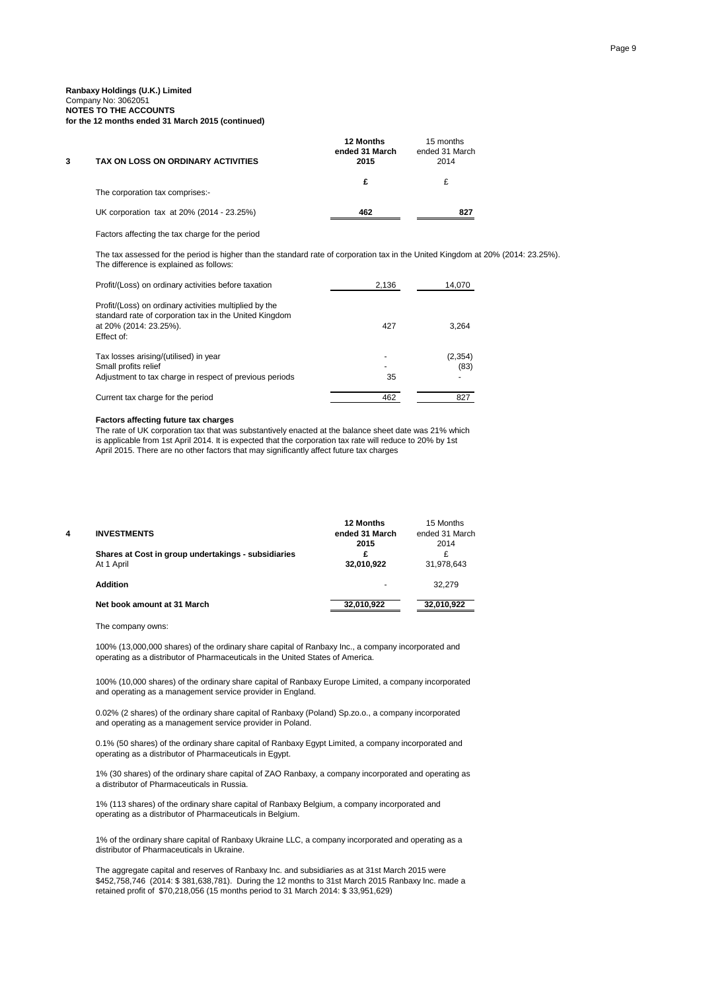#### **Ranbaxy Holdings (U.K.) Limited** Company No: 3062051 **NOTES TO THE ACCOUNTS for the 12 months ended 31 March 2015 (continued)**

| TAX ON LOSS ON ORDINARY ACTIVITIES        | <b>12 Months</b><br>ended 31 March<br>2015 | 15 months<br>ended 31 March<br>2014 |
|-------------------------------------------|--------------------------------------------|-------------------------------------|
| The corporation tax comprises:-           | £                                          |                                     |
| UK corporation tax at 20% (2014 - 23.25%) | 462                                        | 827                                 |

Factors affecting the tax charge for the period

The tax assessed for the period is higher than the standard rate of corporation tax in the United Kingdom at 20% (2014: 23.25%). The difference is explained as follows:

| Profit/(Loss) on ordinary activities before taxation                                                                                                     | 2,136                               | 14,070           |
|----------------------------------------------------------------------------------------------------------------------------------------------------------|-------------------------------------|------------------|
| Profit/(Loss) on ordinary activities multiplied by the<br>standard rate of corporation tax in the United Kingdom<br>at 20% (2014: 23.25%).<br>Effect of: | 427                                 | 3,264            |
| Tax losses arising/(utilised) in year<br>Small profits relief<br>Adjustment to tax charge in respect of previous periods                                 | $\overline{\phantom{0}}$<br>۰<br>35 | (2, 354)<br>(83) |
| Current tax charge for the period                                                                                                                        | 462                                 | 827              |

#### **Factors affecting future tax charges**

The rate of UK corporation tax that was substantively enacted at the balance sheet date was 21% which is applicable from 1st April 2014. It is expected that the corporation tax rate will reduce to 20% by 1st April 2015. There are no other factors that may significantly affect future tax charges

| 4 | <b>INVESTMENTS</b>                                                | 12 Months<br>ended 31 March | 15 Months<br>ended 31 March |
|---|-------------------------------------------------------------------|-----------------------------|-----------------------------|
|   | Shares at Cost in group undertakings - subsidiaries<br>At 1 April | 2015<br>£<br>32.010.922     | 2014<br>£<br>31,978,643     |
|   | <b>Addition</b>                                                   | -                           | 32.279                      |
|   | Net book amount at 31 March                                       | 32,010,922                  | 32,010,922                  |

The company owns:

100% (13,000,000 shares) of the ordinary share capital of Ranbaxy Inc., a company incorporated and operating as a distributor of Pharmaceuticals in the United States of America.

100% (10,000 shares) of the ordinary share capital of Ranbaxy Europe Limited, a company incorporated and operating as a management service provider in England.

0.02% (2 shares) of the ordinary share capital of Ranbaxy (Poland) Sp.zo.o., a company incorporated and operating as a management service provider in Poland.

0.1% (50 shares) of the ordinary share capital of Ranbaxy Egypt Limited, a company incorporated and operating as a distributor of Pharmaceuticals in Egypt.

1% (30 shares) of the ordinary share capital of ZAO Ranbaxy, a company incorporated and operating as a distributor of Pharmaceuticals in Russia.

1% (113 shares) of the ordinary share capital of Ranbaxy Belgium, a company incorporated and operating as a distributor of Pharmaceuticals in Belgium.

1% of the ordinary share capital of Ranbaxy Ukraine LLC, a company incorporated and operating as a distributor of Pharmaceuticals in Ukraine.

The aggregate capital and reserves of Ranbaxy Inc. and subsidiaries as at 31st March 2015 were \$452,758,746 (2014: \$ 381,638,781). During the 12 months to 31st March 2015 Ranbaxy Inc. made a retained profit of \$70,218,056 (15 months period to 31 March 2014: \$ 33,951,629)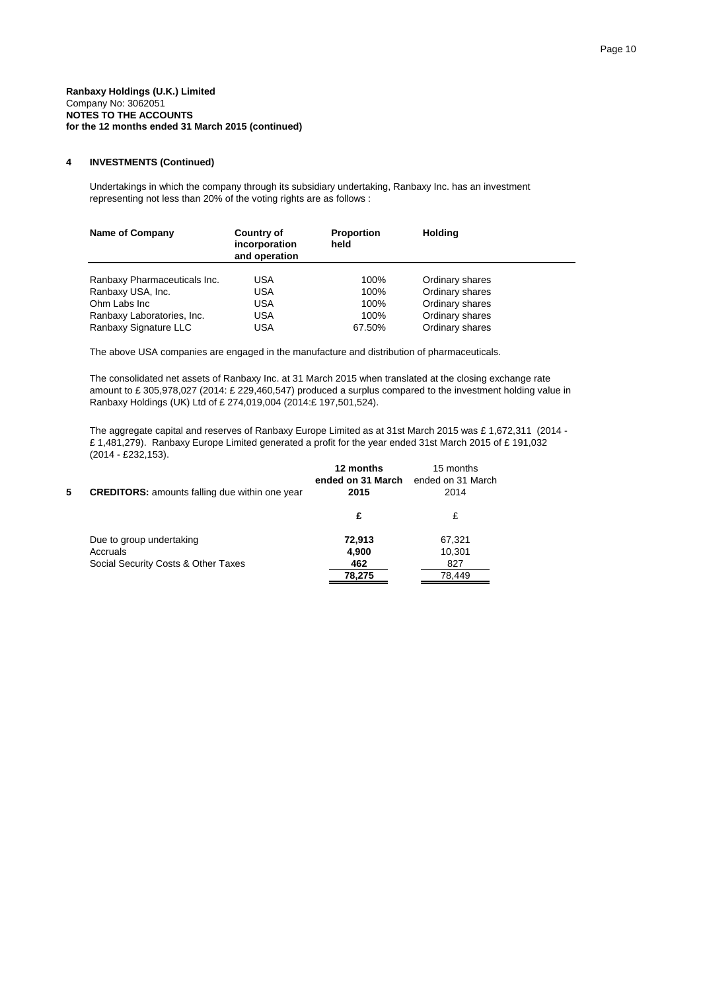### **4 INVESTMENTS (Continued)**

Undertakings in which the company through its subsidiary undertaking, Ranbaxy Inc. has an investment representing not less than 20% of the voting rights are as follows :

| Name of Company              | <b>Country of</b><br>incorporation<br>and operation | <b>Proportion</b><br>held | <b>Holding</b>  |  |
|------------------------------|-----------------------------------------------------|---------------------------|-----------------|--|
| Ranbaxy Pharmaceuticals Inc. | <b>USA</b>                                          | 100%                      | Ordinary shares |  |
| Ranbaxy USA, Inc.            | <b>USA</b>                                          | 100%                      | Ordinary shares |  |
| Ohm Labs Inc                 | <b>USA</b>                                          | 100%                      | Ordinary shares |  |
| Ranbaxy Laboratories, Inc.   | <b>USA</b>                                          | 100%                      | Ordinary shares |  |
| Ranbaxy Signature LLC        | <b>USA</b>                                          | 67.50%                    | Ordinary shares |  |

The above USA companies are engaged in the manufacture and distribution of pharmaceuticals.

The consolidated net assets of Ranbaxy Inc. at 31 March 2015 when translated at the closing exchange rate amount to £ 305,978,027 (2014: £ 229,460,547) produced a surplus compared to the investment holding value in Ranbaxy Holdings (UK) Ltd of £ 274,019,004 (2014:£ 197,501,524).

The aggregate capital and reserves of Ranbaxy Europe Limited as at 31st March 2015 was £ 1,672,311 (2014 - £ 1,481,279). Ranbaxy Europe Limited generated a profit for the year ended 31st March 2015 of £ 191,032 (2014 - £232,153).

| 5 | <b>CREDITORS:</b> amounts falling due within one year | 12 months<br>ended on 31 March<br>2015 | 15 months<br>ended on 31 March<br>2014 |
|---|-------------------------------------------------------|----------------------------------------|----------------------------------------|
|   |                                                       | £                                      | £                                      |
|   | Due to group undertaking<br>Accruals                  | 72,913<br>4.900                        | 67,321<br>10.301                       |
|   | Social Security Costs & Other Taxes                   | 462<br>78,275                          | 827<br>78.449                          |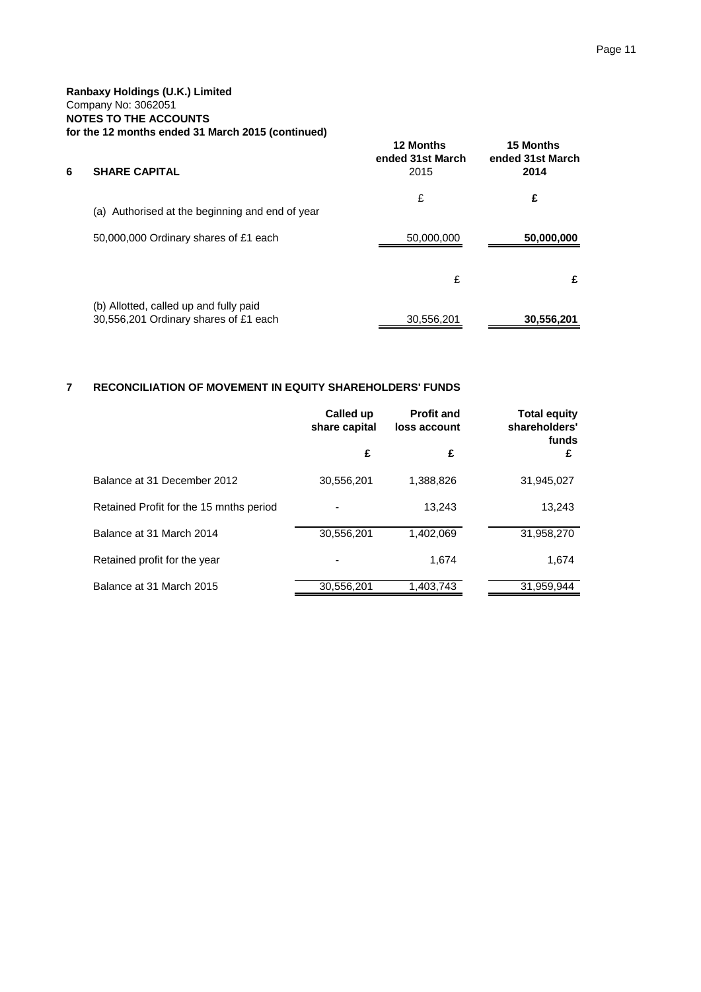| 6 | <b>SHARE CAPITAL</b>                                                            | 12 Months<br>ended 31st March<br>2015 | <b>15 Months</b><br>ended 31st March<br>2014 |
|---|---------------------------------------------------------------------------------|---------------------------------------|----------------------------------------------|
|   | (a) Authorised at the beginning and end of year                                 | £                                     | £                                            |
|   | 50,000,000 Ordinary shares of £1 each                                           | 50,000,000                            | 50,000,000                                   |
|   |                                                                                 | £                                     | £                                            |
|   | (b) Allotted, called up and fully paid<br>30,556,201 Ordinary shares of £1 each | 30,556,201                            | 30,556,201                                   |

# **7 RECONCILIATION OF MOVEMENT IN EQUITY SHAREHOLDERS' FUNDS**

|                                         | Called up<br>share capital | <b>Profit and</b><br>loss account | <b>Total equity</b><br>shareholders'<br>funds |
|-----------------------------------------|----------------------------|-----------------------------------|-----------------------------------------------|
|                                         | £                          | £                                 | £                                             |
| Balance at 31 December 2012             | 30,556,201                 | 1.388.826                         | 31,945,027                                    |
| Retained Profit for the 15 mnths period |                            | 13.243                            | 13.243                                        |
| Balance at 31 March 2014                | 30,556,201                 | 1,402,069                         | 31,958,270                                    |
| Retained profit for the year            |                            | 1.674                             | 1,674                                         |
| Balance at 31 March 2015                | 30,556,201                 | 1,403,743                         | 31,959,944                                    |